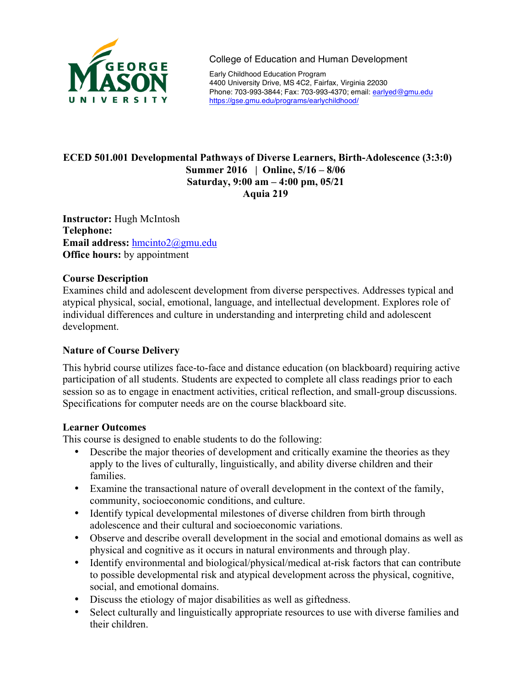

College of Education and Human Development

Early Childhood Education Program 4400 University Drive, MS 4C2, Fairfax, Virginia 22030 Phone: 703-993-3844; Fax: 703-993-4370; email: earlyed@gmu.edu https://gse.gmu.edu/programs/earlychildhood/

# **ECED 501.001 Developmental Pathways of Diverse Learners, Birth-Adolescence (3:3:0) Summer 2016 | Online, 5/16 – 8/06 Saturday, 9:00 am – 4:00 pm, 05/21 Aquia 219**

**Instructor:** Hugh McIntosh **Telephone: Email address:** hmcinto2@gmu.edu **Office hours:** by appointment

# **Course Description**

Examines child and adolescent development from diverse perspectives. Addresses typical and atypical physical, social, emotional, language, and intellectual development. Explores role of individual differences and culture in understanding and interpreting child and adolescent development.

# **Nature of Course Delivery**

This hybrid course utilizes face-to-face and distance education (on blackboard) requiring active participation of all students. Students are expected to complete all class readings prior to each session so as to engage in enactment activities, critical reflection, and small-group discussions. Specifications for computer needs are on the course blackboard site.

## **Learner Outcomes**

This course is designed to enable students to do the following:

- Describe the major theories of development and critically examine the theories as they apply to the lives of culturally, linguistically, and ability diverse children and their families.
- Examine the transactional nature of overall development in the context of the family, community, socioeconomic conditions, and culture.
- Identify typical developmental milestones of diverse children from birth through adolescence and their cultural and socioeconomic variations.
- Observe and describe overall development in the social and emotional domains as well as physical and cognitive as it occurs in natural environments and through play.
- Identify environmental and biological/physical/medical at-risk factors that can contribute to possible developmental risk and atypical development across the physical, cognitive, social, and emotional domains.
- Discuss the etiology of major disabilities as well as giftedness.
- Select culturally and linguistically appropriate resources to use with diverse families and their children.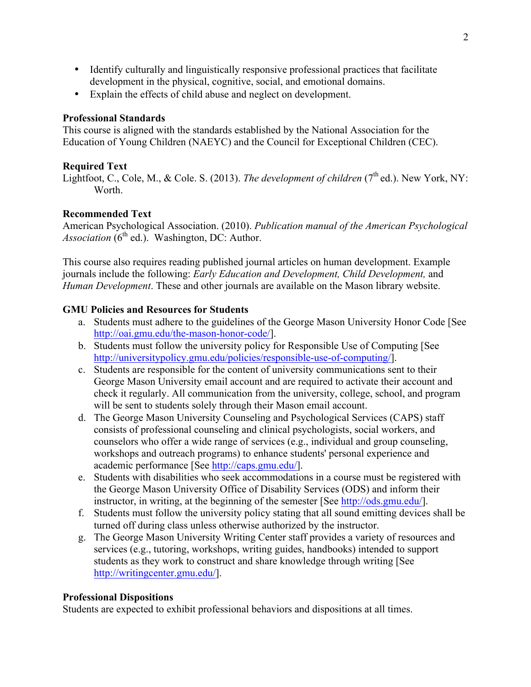- Identify culturally and linguistically responsive professional practices that facilitate development in the physical, cognitive, social, and emotional domains.
- Explain the effects of child abuse and neglect on development.

## **Professional Standards**

This course is aligned with the standards established by the National Association for the Education of Young Children (NAEYC) and the Council for Exceptional Children (CEC).

# **Required Text**

Lightfoot, C., Cole, M., & Cole. S. (2013). *The development of children* (7<sup>th</sup> ed.). New York, NY: Worth.

# **Recommended Text**

American Psychological Association. (2010). *Publication manual of the American Psychological Association* (6<sup>th</sup> ed.). Washington, DC: Author.

This course also requires reading published journal articles on human development. Example journals include the following: *Early Education and Development, Child Development,* and *Human Development*. These and other journals are available on the Mason library website.

# **GMU Policies and Resources for Students**

- a. Students must adhere to the guidelines of the George Mason University Honor Code [See http://oai.gmu.edu/the-mason-honor-code/].
- b. Students must follow the university policy for Responsible Use of Computing [See http://universitypolicy.gmu.edu/policies/responsible-use-of-computing/].
- c. Students are responsible for the content of university communications sent to their George Mason University email account and are required to activate their account and check it regularly. All communication from the university, college, school, and program will be sent to students solely through their Mason email account.
- d. The George Mason University Counseling and Psychological Services (CAPS) staff consists of professional counseling and clinical psychologists, social workers, and counselors who offer a wide range of services (e.g., individual and group counseling, workshops and outreach programs) to enhance students' personal experience and academic performance [See http://caps.gmu.edu/].
- e. Students with disabilities who seek accommodations in a course must be registered with the George Mason University Office of Disability Services (ODS) and inform their instructor, in writing, at the beginning of the semester [See http://ods.gmu.edu/].
- f. Students must follow the university policy stating that all sound emitting devices shall be turned off during class unless otherwise authorized by the instructor.
- g. The George Mason University Writing Center staff provides a variety of resources and services (e.g., tutoring, workshops, writing guides, handbooks) intended to support students as they work to construct and share knowledge through writing [See http://writingcenter.gmu.edu/].

## **Professional Dispositions**

Students are expected to exhibit professional behaviors and dispositions at all times.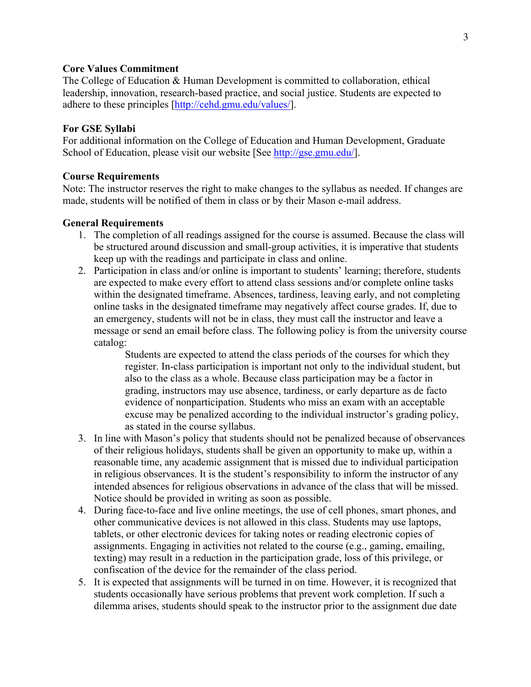### **Core Values Commitment**

The College of Education & Human Development is committed to collaboration, ethical leadership, innovation, research-based practice, and social justice. Students are expected to adhere to these principles [http://cehd.gmu.edu/values/].

### **For GSE Syllabi**

For additional information on the College of Education and Human Development, Graduate School of Education, please visit our website [See http://gse.gmu.edu/].

### **Course Requirements**

Note: The instructor reserves the right to make changes to the syllabus as needed. If changes are made, students will be notified of them in class or by their Mason e-mail address.

#### **General Requirements**

- 1. The completion of all readings assigned for the course is assumed. Because the class will be structured around discussion and small-group activities, it is imperative that students keep up with the readings and participate in class and online.
- 2. Participation in class and/or online is important to students' learning; therefore, students are expected to make every effort to attend class sessions and/or complete online tasks within the designated timeframe. Absences, tardiness, leaving early, and not completing online tasks in the designated timeframe may negatively affect course grades. If, due to an emergency, students will not be in class, they must call the instructor and leave a message or send an email before class. The following policy is from the university course catalog:

Students are expected to attend the class periods of the courses for which they register. In-class participation is important not only to the individual student, but also to the class as a whole. Because class participation may be a factor in grading, instructors may use absence, tardiness, or early departure as de facto evidence of nonparticipation. Students who miss an exam with an acceptable excuse may be penalized according to the individual instructor's grading policy, as stated in the course syllabus.

- 3. In line with Mason's policy that students should not be penalized because of observances of their religious holidays, students shall be given an opportunity to make up, within a reasonable time, any academic assignment that is missed due to individual participation in religious observances. It is the student's responsibility to inform the instructor of any intended absences for religious observations in advance of the class that will be missed. Notice should be provided in writing as soon as possible.
- 4. During face-to-face and live online meetings, the use of cell phones, smart phones, and other communicative devices is not allowed in this class. Students may use laptops, tablets, or other electronic devices for taking notes or reading electronic copies of assignments. Engaging in activities not related to the course (e.g., gaming, emailing, texting) may result in a reduction in the participation grade, loss of this privilege, or confiscation of the device for the remainder of the class period.
- 5. It is expected that assignments will be turned in on time. However, it is recognized that students occasionally have serious problems that prevent work completion. If such a dilemma arises, students should speak to the instructor prior to the assignment due date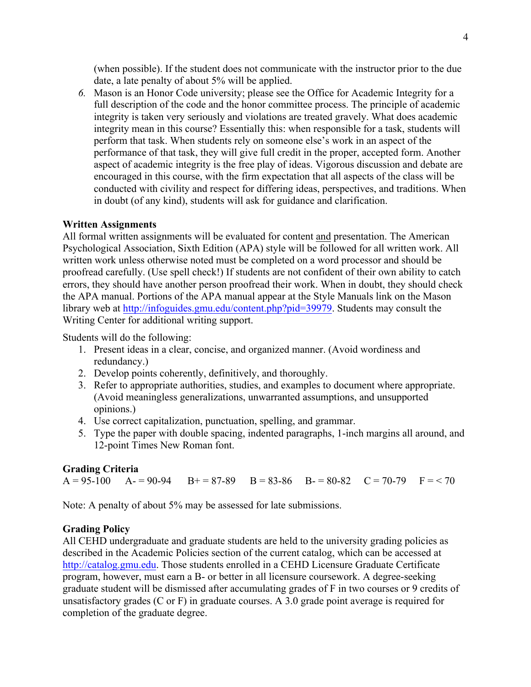(when possible). If the student does not communicate with the instructor prior to the due date, a late penalty of about 5% will be applied.

*6.* Mason is an Honor Code university; please see the Office for Academic Integrity for a full description of the code and the honor committee process. The principle of academic integrity is taken very seriously and violations are treated gravely. What does academic integrity mean in this course? Essentially this: when responsible for a task, students will perform that task. When students rely on someone else's work in an aspect of the performance of that task, they will give full credit in the proper, accepted form. Another aspect of academic integrity is the free play of ideas. Vigorous discussion and debate are encouraged in this course, with the firm expectation that all aspects of the class will be conducted with civility and respect for differing ideas, perspectives, and traditions. When in doubt (of any kind), students will ask for guidance and clarification.

# **Written Assignments**

All formal written assignments will be evaluated for content and presentation. The American Psychological Association, Sixth Edition (APA) style will be followed for all written work. All written work unless otherwise noted must be completed on a word processor and should be proofread carefully. (Use spell check!) If students are not confident of their own ability to catch errors, they should have another person proofread their work. When in doubt, they should check the APA manual. Portions of the APA manual appear at the Style Manuals link on the Mason library web at http://infoguides.gmu.edu/content.php?pid=39979. Students may consult the Writing Center for additional writing support.

Students will do the following:

- 1. Present ideas in a clear, concise, and organized manner. (Avoid wordiness and redundancy.)
- 2. Develop points coherently, definitively, and thoroughly.
- 3. Refer to appropriate authorities, studies, and examples to document where appropriate. (Avoid meaningless generalizations, unwarranted assumptions, and unsupported opinions.)
- 4. Use correct capitalization, punctuation, spelling, and grammar.
- 5. Type the paper with double spacing, indented paragraphs, 1-inch margins all around, and 12-point Times New Roman font.

# **Grading Criteria**

 $A = 95-100$   $A = 90-94$   $B = 87-89$   $B = 83-86$   $B = 80-82$   $C = 70-79$   $F = < 70$ 

Note: A penalty of about 5% may be assessed for late submissions.

# **Grading Policy**

All CEHD undergraduate and graduate students are held to the university grading policies as described in the Academic Policies section of the current catalog, which can be accessed at http://catalog.gmu.edu. Those students enrolled in a CEHD Licensure Graduate Certificate program, however, must earn a B- or better in all licensure coursework. A degree-seeking graduate student will be dismissed after accumulating grades of F in two courses or 9 credits of unsatisfactory grades (C or F) in graduate courses. A 3.0 grade point average is required for completion of the graduate degree.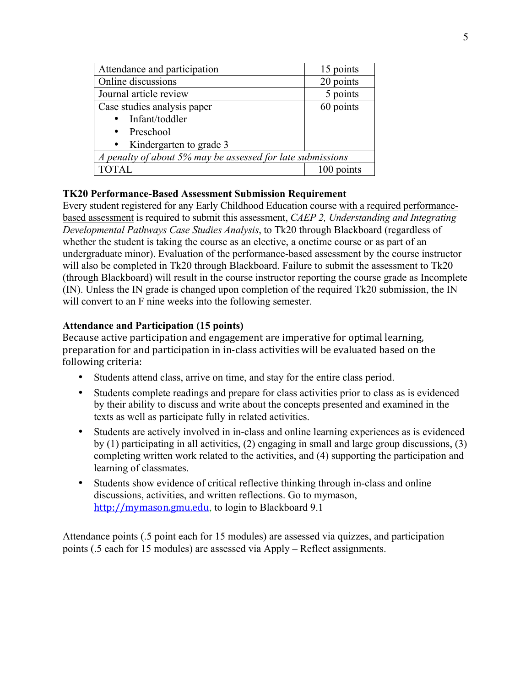| Attendance and participation                               | 15 points  |  |  |
|------------------------------------------------------------|------------|--|--|
| Online discussions                                         | 20 points  |  |  |
| Journal article review                                     | 5 points   |  |  |
| Case studies analysis paper                                | 60 points  |  |  |
| • Infant/toddler                                           |            |  |  |
| • Preschool                                                |            |  |  |
| • Kindergarten to grade 3                                  |            |  |  |
| A penalty of about 5% may be assessed for late submissions |            |  |  |
| TOTAL                                                      | 100 points |  |  |

# **TK20 Performance-Based Assessment Submission Requirement**

Every student registered for any Early Childhood Education course with a required performancebased assessment is required to submit this assessment, *CAEP 2, Understanding and Integrating Developmental Pathways Case Studies Analysis*, to Tk20 through Blackboard (regardless of whether the student is taking the course as an elective, a onetime course or as part of an undergraduate minor). Evaluation of the performance-based assessment by the course instructor will also be completed in Tk20 through Blackboard. Failure to submit the assessment to Tk20 (through Blackboard) will result in the course instructor reporting the course grade as Incomplete (IN). Unless the IN grade is changed upon completion of the required Tk20 submission, the IN will convert to an F nine weeks into the following semester.

# **Attendance and Participation (15 points)**

Because active participation and engagement are imperative for optimal learning, preparation for and participation in in-class activities will be evaluated based on the following criteria:

- Students attend class, arrive on time, and stay for the entire class period.
- Students complete readings and prepare for class activities prior to class as is evidenced by their ability to discuss and write about the concepts presented and examined in the texts as well as participate fully in related activities.
- Students are actively involved in in-class and online learning experiences as is evidenced by (1) participating in all activities, (2) engaging in small and large group discussions, (3) completing written work related to the activities, and (4) supporting the participation and learning of classmates.
- Students show evidence of critical reflective thinking through in-class and online discussions, activities, and written reflections. Go to mymason, http://mymason.gmu.edu, to login to Blackboard 9.1

Attendance points (.5 point each for 15 modules) are assessed via quizzes, and participation points (.5 each for 15 modules) are assessed via Apply – Reflect assignments.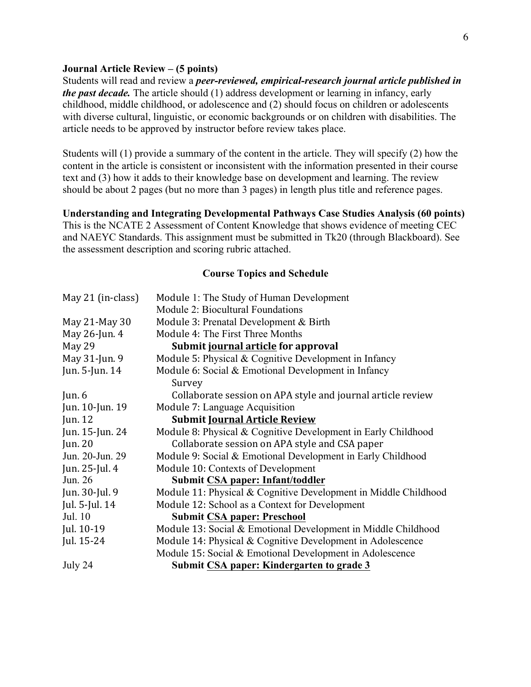### **Journal Article Review – (5 points)**

Students will read and review a *peer-reviewed, empirical-research journal article published in the past decade.* The article should (1) address development or learning in infancy, early childhood, middle childhood, or adolescence and (2) should focus on children or adolescents with diverse cultural, linguistic, or economic backgrounds or on children with disabilities. The article needs to be approved by instructor before review takes place.

Students will (1) provide a summary of the content in the article. They will specify (2) how the content in the article is consistent or inconsistent with the information presented in their course text and (3) how it adds to their knowledge base on development and learning. The review should be about 2 pages (but no more than 3 pages) in length plus title and reference pages.

**Understanding and Integrating Developmental Pathways Case Studies Analysis (60 points)** This is the NCATE 2 Assessment of Content Knowledge that shows evidence of meeting CEC and NAEYC Standards. This assignment must be submitted in Tk20 (through Blackboard). See the assessment description and scoring rubric attached.

### **Course Topics and Schedule**

| May 21 (in-class) | Module 1: The Study of Human Development                        |
|-------------------|-----------------------------------------------------------------|
|                   | Module 2: Biocultural Foundations                               |
| May 21-May 30     | Module 3: Prenatal Development & Birth                          |
| May 26-Jun. 4     | Module 4: The First Three Months                                |
| May 29            | Submit journal article for approval                             |
| May 31-Jun. 9     | Module 5: Physical $& Cognitive Development$ in Infancy         |
| Jun. 5-Jun. 14    | Module 6: Social & Emotional Development in Infancy             |
|                   | Survey                                                          |
| Jun. $6$          | Collaborate session on APA style and journal article review     |
| Jun. 10-Jun. 19   | Module 7: Language Acquisition                                  |
| Jun. $12$         | <b>Submit Journal Article Review</b>                            |
| Jun. 15-Jun. 24   | Module 8: Physical & Cognitive Development in Early Childhood   |
| Jun. $20$         | Collaborate session on APA style and CSA paper                  |
| Jun. 20-Jun. 29   | Module 9: Social & Emotional Development in Early Childhood     |
| Jun. $25$ -Jul. 4 | Module 10: Contexts of Development                              |
| Jun. 26           | Submit CSA paper: Infant/toddler                                |
| Jun. 30-Jul. 9    | Module 11: Physical & Cognitive Development in Middle Childhood |
| Jul. 5-Jul. 14    | Module 12: School as a Context for Development                  |
| Jul. 10           | <b>Submit CSA paper: Preschool</b>                              |
| Jul. 10-19        | Module 13: Social & Emotional Development in Middle Childhood   |
| Jul. 15-24        | Module 14: Physical & Cognitive Development in Adolescence      |
|                   | Module 15: Social & Emotional Development in Adolescence        |
| July 24           | Submit CSA paper: Kindergarten to grade 3                       |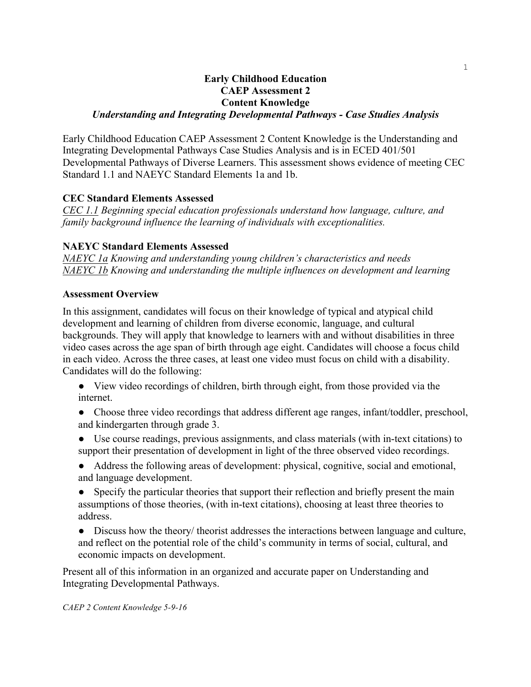## **Early Childhood Education CAEP Assessment 2 Content Knowledge**  *Understanding and Integrating Developmental Pathways - Case Studies Analysis*

Early Childhood Education CAEP Assessment 2 Content Knowledge is the Understanding and Integrating Developmental Pathways Case Studies Analysis and is in ECED 401/501 Developmental Pathways of Diverse Learners. This assessment shows evidence of meeting CEC Standard 1.1 and NAEYC Standard Elements 1a and 1b.

# **CEC Standard Elements Assessed**

*CEC 1.1 Beginning special education professionals understand how language, culture, and family background influence the learning of individuals with exceptionalities.*

## **NAEYC Standard Elements Assessed**

*NAEYC 1a Knowing and understanding young children's characteristics and needs NAEYC 1b Knowing and understanding the multiple influences on development and learning*

## **Assessment Overview**

In this assignment, candidates will focus on their knowledge of typical and atypical child development and learning of children from diverse economic, language, and cultural backgrounds. They will apply that knowledge to learners with and without disabilities in three video cases across the age span of birth through age eight. Candidates will choose a focus child in each video. Across the three cases, at least one video must focus on child with a disability. Candidates will do the following:

- View video recordings of children, birth through eight, from those provided via the internet.
- Choose three video recordings that address different age ranges, infant/toddler, preschool, and kindergarten through grade 3.
- Use course readings, previous assignments, and class materials (with in-text citations) to support their presentation of development in light of the three observed video recordings.
- Address the following areas of development: physical, cognitive, social and emotional, and language development.

• Specify the particular theories that support their reflection and briefly present the main assumptions of those theories, (with in-text citations), choosing at least three theories to address.

● Discuss how the theory/ theorist addresses the interactions between language and culture, and reflect on the potential role of the child's community in terms of social, cultural, and economic impacts on development.

Present all of this information in an organized and accurate paper on Understanding and Integrating Developmental Pathways.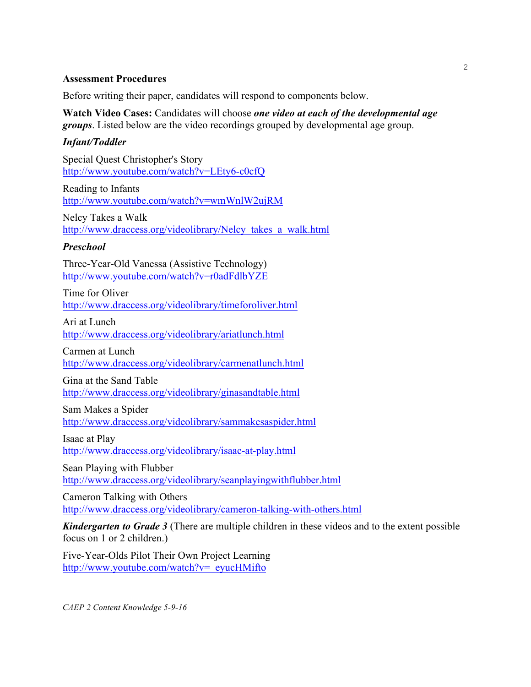### **Assessment Procedures**

Before writing their paper, candidates will respond to components below.

**Watch Video Cases:** Candidates will choose *one video at each of the developmental age groups*. Listed below are the video recordings grouped by developmental age group.

## *Infant/Toddler*

Special Quest Christopher's Story http://www.youtube.com/watch?v=LEty6-c0cfQ

Reading to Infants http://www.youtube.com/watch?v=wmWnlW2ujRM

Nelcy Takes a Walk http://www.draccess.org/videolibrary/Nelcy\_takes\_a\_walk.html

### *Preschool*

Three-Year-Old Vanessa (Assistive Technology) http://www.youtube.com/watch?v=r0adFdlbYZE

Time for Oliver http://www.draccess.org/videolibrary/timeforoliver.html

Ari at Lunch http://www.draccess.org/videolibrary/ariatlunch.html

Carmen at Lunch http://www.draccess.org/videolibrary/carmenatlunch.html

Gina at the Sand Table

http://www.draccess.org/videolibrary/ginasandtable.html

Sam Makes a Spider

http://www.draccess.org/videolibrary/sammakesaspider.html

Isaac at Play http://www.draccess.org/videolibrary/isaac-at-play.html

Sean Playing with Flubber http://www.draccess.org/videolibrary/seanplayingwithflubber.html

Cameron Talking with Others http://www.draccess.org/videolibrary/cameron-talking-with-others.html

*Kindergarten to Grade 3* (There are multiple children in these videos and to the extent possible focus on 1 or 2 children.)

Five-Year-Olds Pilot Their Own Project Learning http://www.youtube.com/watch?v=\_eyucHMifto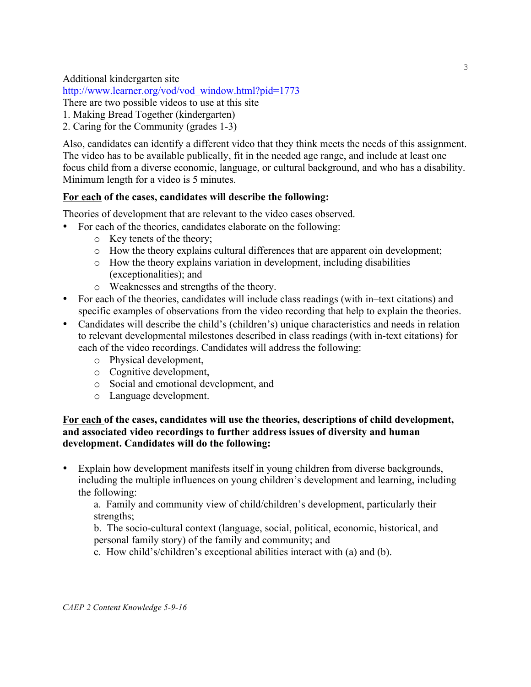Additional kindergarten site

http://www.learner.org/vod/vod\_window.html?pid=1773

There are two possible videos to use at this site

- 1. Making Bread Together (kindergarten)
- 2. Caring for the Community (grades 1-3)

Also, candidates can identify a different video that they think meets the needs of this assignment. The video has to be available publically, fit in the needed age range, and include at least one focus child from a diverse economic, language, or cultural background, and who has a disability. Minimum length for a video is 5 minutes.

# **For each of the cases, candidates will describe the following:**

Theories of development that are relevant to the video cases observed.

- For each of the theories, candidates elaborate on the following:
	- o Key tenets of the theory;
	- $\circ$  How the theory explains cultural differences that are apparent oin development;
	- o How the theory explains variation in development, including disabilities (exceptionalities); and
	- o Weaknesses and strengths of the theory.
- For each of the theories, candidates will include class readings (with in–text citations) and specific examples of observations from the video recording that help to explain the theories.
- Candidates will describe the child's (children's) unique characteristics and needs in relation to relevant developmental milestones described in class readings (with in-text citations) for each of the video recordings. Candidates will address the following:
	- o Physical development,
	- o Cognitive development,
	- o Social and emotional development, and
	- o Language development.

# **For each of the cases, candidates will use the theories, descriptions of child development, and associated video recordings to further address issues of diversity and human development. Candidates will do the following:**

• Explain how development manifests itself in young children from diverse backgrounds, including the multiple influences on young children's development and learning, including the following:

a. Family and community view of child/children's development, particularly their strengths;

b. The socio-cultural context (language, social, political, economic, historical, and personal family story) of the family and community; and

c. How child's/children's exceptional abilities interact with (a) and (b).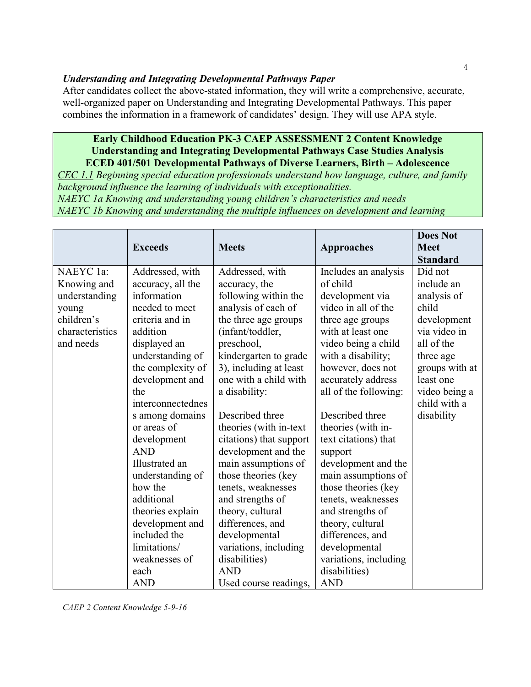## *Understanding and Integrating Developmental Pathways Paper*

After candidates collect the above-stated information, they will write a comprehensive, accurate, well-organized paper on Understanding and Integrating Developmental Pathways. This paper combines the information in a framework of candidates' design. They will use APA style.

# **Early Childhood Education PK-3 CAEP ASSESSMENT 2 Content Knowledge Understanding and Integrating Developmental Pathways Case Studies Analysis ECED 401/501 Developmental Pathways of Diverse Learners, Birth – Adolescence**

*CEC 1.1 Beginning special education professionals understand how language, culture, and family background influence the learning of individuals with exceptionalities.*

*NAEYC 1a Knowing and understanding young children's characteristics and needs NAEYC 1b Knowing and understanding the multiple influences on development and learning*

|                 | <b>Exceeds</b>    | <b>Meets</b>            | <b>Approaches</b>     | <b>Does Not</b><br><b>Meet</b><br><b>Standard</b> |
|-----------------|-------------------|-------------------------|-----------------------|---------------------------------------------------|
| NAEYC 1a:       | Addressed, with   | Addressed, with         | Includes an analysis  | Did not                                           |
| Knowing and     | accuracy, all the | accuracy, the           | of child              | include an                                        |
| understanding   | information       | following within the    | development via       | analysis of                                       |
| young           | needed to meet    | analysis of each of     | video in all of the   | child                                             |
| children's      | criteria and in   | the three age groups    | three age groups      | development                                       |
| characteristics | addition          | (infant/toddler,        | with at least one     | via video in                                      |
| and needs       | displayed an      | preschool,              | video being a child   | all of the                                        |
|                 | understanding of  | kindergarten to grade   | with a disability;    | three age                                         |
|                 | the complexity of | 3), including at least  | however, does not     | groups with at                                    |
|                 | development and   | one with a child with   | accurately address    | least one                                         |
|                 | the               | a disability:           | all of the following: | video being a                                     |
|                 | interconnectednes |                         |                       | child with a                                      |
|                 | s among domains   | Described three         | Described three       | disability                                        |
|                 | or areas of       | theories (with in-text  | theories (with in-    |                                                   |
|                 | development       | citations) that support | text citations) that  |                                                   |
|                 | <b>AND</b>        | development and the     | support               |                                                   |
|                 | Illustrated an    | main assumptions of     | development and the   |                                                   |
|                 | understanding of  | those theories (key     | main assumptions of   |                                                   |
|                 | how the           | tenets, weaknesses      | those theories (key   |                                                   |
|                 | additional        | and strengths of        | tenets, weaknesses    |                                                   |
|                 | theories explain  | theory, cultural        | and strengths of      |                                                   |
|                 | development and   | differences, and        | theory, cultural      |                                                   |
|                 | included the      | developmental           | differences, and      |                                                   |
|                 | limitations/      | variations, including   | developmental         |                                                   |
|                 | weaknesses of     | disabilities)           | variations, including |                                                   |
|                 | each              | <b>AND</b>              | disabilities)         |                                                   |
|                 | <b>AND</b>        | Used course readings,   | <b>AND</b>            |                                                   |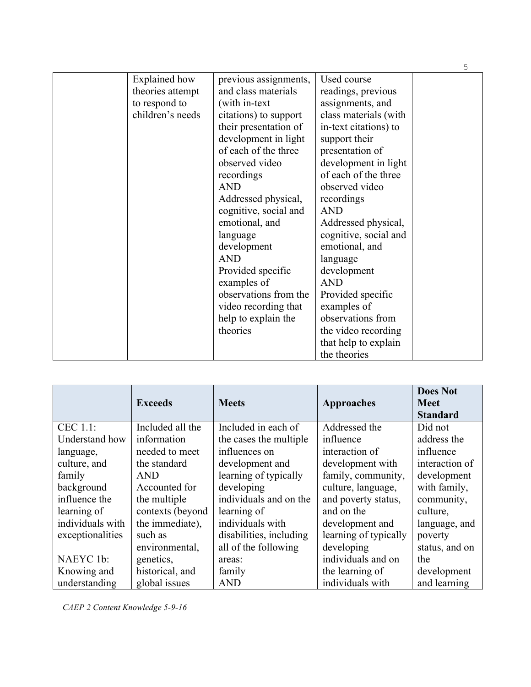|                      |                       |                       | 5 |
|----------------------|-----------------------|-----------------------|---|
| <b>Explained</b> how | previous assignments, | Used course           |   |
| theories attempt     | and class materials   | readings, previous    |   |
| to respond to        | (with in-text)        | assignments, and      |   |
| children's needs     | citations) to support | class materials (with |   |
|                      | their presentation of | in-text citations) to |   |
|                      | development in light  | support their         |   |
|                      | of each of the three  | presentation of       |   |
|                      | observed video        | development in light  |   |
|                      | recordings            | of each of the three  |   |
|                      | <b>AND</b>            | observed video        |   |
|                      | Addressed physical,   | recordings            |   |
|                      | cognitive, social and | <b>AND</b>            |   |
|                      | emotional, and        | Addressed physical,   |   |
|                      | language              | cognitive, social and |   |
|                      | development           | emotional, and        |   |
|                      | <b>AND</b>            | language              |   |
|                      | Provided specific     | development           |   |
|                      | examples of           | <b>AND</b>            |   |
|                      | observations from the | Provided specific     |   |
|                      | video recording that  | examples of           |   |
|                      | help to explain the   | observations from     |   |
|                      | theories              | the video recording   |   |
|                      |                       | that help to explain  |   |
|                      |                       | the theories          |   |

|                  | <b>Exceeds</b>   | <b>Meets</b>            | <b>Approaches</b>     | <b>Does Not</b><br><b>Meet</b><br><b>Standard</b> |
|------------------|------------------|-------------------------|-----------------------|---------------------------------------------------|
| CEC 1.1:         | Included all the | Included in each of     | Addressed the         | Did not                                           |
| Understand how   | information      | the cases the multiple  | influence             | address the                                       |
| language,        | needed to meet   | influences on           | interaction of        | influence                                         |
| culture, and     | the standard     | development and         | development with      | interaction of                                    |
| family           | <b>AND</b>       | learning of typically   | family, community,    | development                                       |
| background       | Accounted for    | developing              | culture, language,    | with family,                                      |
| influence the    | the multiple     | individuals and on the  | and poverty status,   | community,                                        |
| learning of      | contexts (beyond | learning of             | and on the            | culture,                                          |
| individuals with | the immediate),  | individuals with        | development and       | language, and                                     |
| exceptionalities | such as          | disabilities, including | learning of typically | poverty                                           |
|                  | environmental,   | all of the following    | developing            | status, and on                                    |
| NAEYC 1b:        | genetics,        | areas:                  | individuals and on    | the                                               |
| Knowing and      | historical, and  | family                  | the learning of       | development                                       |
| understanding    | global issues    | <b>AND</b>              | individuals with      | and learning                                      |